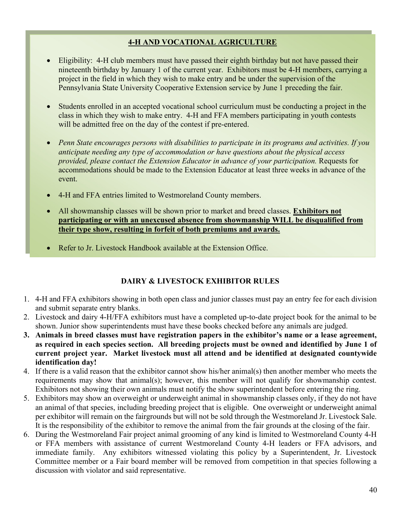## 4-H AND VOCATIONAL AGRICULTURE

- Eligibility: 4-H club members must have passed their eighth birthday but not have passed their nineteenth birthday by January 1 of the current year. Exhibitors must be 4-H members, carrying a project in the field in which they wish to make entry and be under the supervision of the Pennsylvania State University Cooperative Extension service by June 1 preceding the fair.
- Students enrolled in an accepted vocational school curriculum must be conducting a project in the class in which they wish to make entry. 4-H and FFA members participating in youth contests will be admitted free on the day of the contest if pre-entered.
- Penn State encourages persons with disabilities to participate in its programs and activities. If you anticipate needing any type of accommodation or have questions about the physical access provided, please contact the Extension Educator in advance of your participation. Requests for accommodations should be made to the Extension Educator at least three weeks in advance of the event.
- 4-H and FFA entries limited to Westmoreland County members.
- All showmanship classes will be shown prior to market and breed classes. Exhibitors not participating or with an unexcused absence from showmanship WILL be disqualified from their type show, resulting in forfeit of both premiums and awards.
- Refer to Jr. Livestock Handbook available at the Extension Office.

## DAIRY & LIVESTOCK EXHIBITOR RULES

- 1. 4-H and FFA exhibitors showing in both open class and junior classes must pay an entry fee for each division and submit separate entry blanks.
- 2. Livestock and dairy 4-H/FFA exhibitors must have a completed up-to-date project book for the animal to be shown. Junior show superintendents must have these books checked before any animals are judged.
- 3. Animals in breed classes must have registration papers in the exhibitor's name or a lease agreement, as required in each species section. All breeding projects must be owned and identified by June 1 of current project year. Market livestock must all attend and be identified at designated countywide identification day!
- 4. If there is a valid reason that the exhibitor cannot show his/her animal(s) then another member who meets the requirements may show that animal(s); however, this member will not qualify for showmanship contest. Exhibitors not showing their own animals must notify the show superintendent before entering the ring.
- 5. Exhibitors may show an overweight or underweight animal in showmanship classes only, if they do not have an animal of that species, including breeding project that is eligible. One overweight or underweight animal per exhibitor will remain on the fairgrounds but will not be sold through the Westmoreland Jr. Livestock Sale. It is the responsibility of the exhibitor to remove the animal from the fair grounds at the closing of the fair.
- 6. During the Westmoreland Fair project animal grooming of any kind is limited to Westmoreland County 4-H or FFA members with assistance of current Westmoreland County 4-H leaders or FFA advisors, and immediate family. Any exhibitors witnessed violating this policy by a Superintendent, Jr. Livestock Committee member or a Fair board member will be removed from competition in that species following a discussion with violator and said representative.